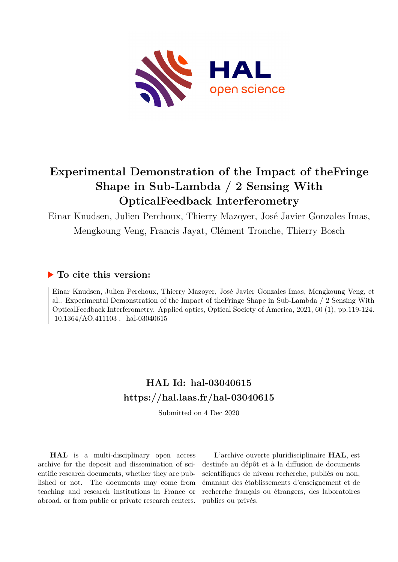

## **Experimental Demonstration of the Impact of theFringe Shape in Sub-Lambda / 2 Sensing With OpticalFeedback Interferometry**

Einar Knudsen, Julien Perchoux, Thierry Mazoyer, José Javier Gonzales Imas, Mengkoung Veng, Francis Jayat, Clément Tronche, Thierry Bosch

## **To cite this version:**

Einar Knudsen, Julien Perchoux, Thierry Mazoyer, José Javier Gonzales Imas, Mengkoung Veng, et al.. Experimental Demonstration of the Impact of theFringe Shape in Sub-Lambda / 2 Sensing With OpticalFeedback Interferometry. Applied optics, Optical Society of America, 2021, 60 (1), pp.119-124. 10.1364/AO.411103. hal-03040615

## **HAL Id: hal-03040615 <https://hal.laas.fr/hal-03040615>**

Submitted on 4 Dec 2020

**HAL** is a multi-disciplinary open access archive for the deposit and dissemination of scientific research documents, whether they are published or not. The documents may come from teaching and research institutions in France or abroad, or from public or private research centers.

L'archive ouverte pluridisciplinaire **HAL**, est destinée au dépôt et à la diffusion de documents scientifiques de niveau recherche, publiés ou non, émanant des établissements d'enseignement et de recherche français ou étrangers, des laboratoires publics ou privés.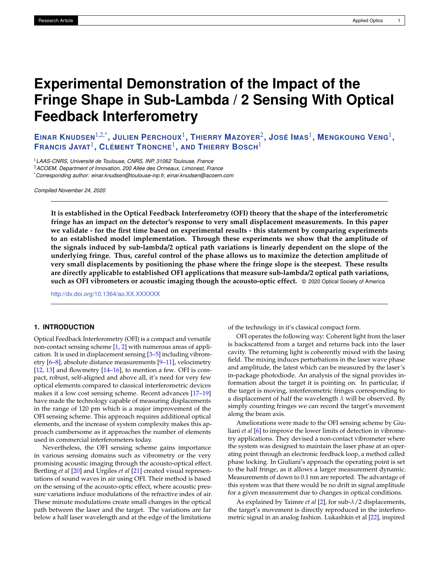# **Experimental Demonstration of the Impact of the Fringe Shape in Sub-Lambda / 2 Sensing With Optical Feedback Interferometry**

EINAR KNUDSEN $^{1,2,^{\ast}}$ , JULIEN PERCHOUX $^{1}$ , Thierry Mazoyer $^{2}$ , José Imas $^{1}$ , Mengkoung Veng $^{1}$ , **FRANCIS JAYAT**<sup>1</sup> **, CLÉMENT TRONCHE**<sup>1</sup> **, AND THIERRY BOSCH**<sup>1</sup>

<sup>1</sup>*LAAS-CNRS, Université de Toulouse, CNRS, INP, 31062 Toulouse, France*

<sup>2</sup>*ACOEM, Department of Innovation, 200 Allée des Ormeaux, Limonest, France*

\**Corresponding author: einar.knudsen@toulouse-inp.fr, einar.knudsen@acoem.com*

*Compiled November 24, 2020*

**It is established in the Optical Feedback Interferometry (OFI) theory that the shape of the interferometric fringe has an impact on the detector's response to very small displacement measurements. In this paper we validate - for the first time based on experimental results - this statement by comparing experiments to an established model implementation. Through these experiments we show that the amplitude of the signals induced by sub-lambda/2 optical path variations is linearly dependent on the slope of the underlying fringe. Thus, careful control of the phase allows us to maximize the detection amplitude of very small displacements by positioning the phase where the fringe slope is the steepest. These results are directly applicable to established OFI applications that measure sub-lambda/2 optical path variations, such as OFI vibrometers or acoustic imaging though the acousto-optic effect.** © 2020 Optical Society of America

<http://dx.doi.org/10.1364/ao.XX.XXXXXX>

## **1. INTRODUCTION**

Optical Feedback Interferometry (OFI) is a compact and versatile non-contact sensing scheme [1, 2] with numerous areas of application. It is used in displacement sensing [3–5] including vibrometry [6–8], absolute distance measurements [9–11], velocimetry  $[12, 13]$  and flowmetry  $[14–16]$ , to mention a few. OFI is compact, robust, self-aligned and above all, it's need for very few optical elements compared to classical interferometric devices makes it a low cost sensing scheme. Recent advances [17–19] have made the technology capable of measuring displacements in the range of 120 pm which is a major improvement of the OFI sensing scheme. This approach requires additional optical elements, and the increase of system complexity makes this approach cumbersome as it approaches the number of elements used in commercial interferometers today.

Nevertheless, the OFI sensing scheme gains importance in various sensing domains such as vibrometry or the very promising acoustic imaging through the acousto-optical effect. Bertling *et al* [20] and Urgiles *et al* [21] created visual representations of sound waves in air using OFI. Their method is based on the sensing of the acousto-optic effect, where acoustic pressure variations induce modulations of the refractive index of air. These minute modulations create small changes in the optical path between the laser and the target. The variations are far below a half laser wavelength and at the edge of the limitations

of the technology in it's classical compact form.

OFI operates the following way: Coherent light from the laser is backscattered from a target and returns back into the laser cavity. The returning light is coherently mixed with the lasing field. The mixing induces perturbations in the laser wave phase and amplitude, the latest which can be measured by the laser's in-package photodiode. An analysis of the signal provides information about the target it is pointing on. In particular, if the target is moving, interferometric fringes corresponding to a displacement of half the wavelength *λ* will be observed. By simply counting fringes we can record the target's movement along the beam axis.

Ameliorations were made to the OFI sensing scheme by Giuliani *et al* [6] to improve the lower limits of detection in vibrometry applications. They devised a non-contact vibrometer where the system was designed to maintain the laser phase at an operating point through an electronic feedback loop, a method called phase locking. In Giuliani's approach the operating point is set to the half fringe, as it allows a larger measurement dynamic. Measurements of down to 0.1 nm are reported. The advantage of this system was that there would be no drift in signal amplitude for a given measurement due to changes in optical conditions.

As explained by Taimre *et al* [2], for sub-*λ*/2 displacements, the target's movement is directly reproduced in the interferometric signal in an analog fashion. Lukashkin et al [22], inspired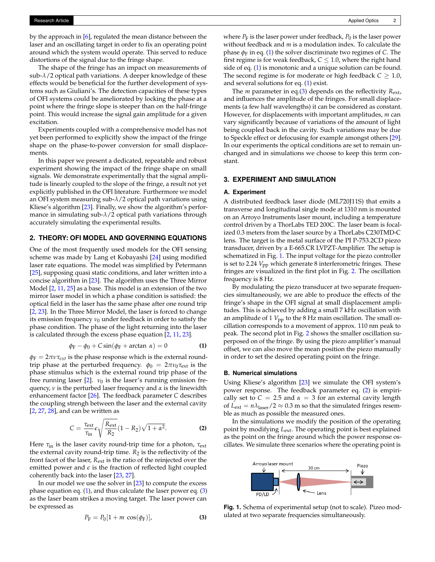by the approach in [6], regulated the mean distance between the laser and an oscillating target in order to fix an operating point around which the system would operate. This served to reduce distortions of the signal due to the fringe shape.

The shape of the fringe has an impact on measurements of sub-*λ*/2 optical path variations. A deeper knowledge of these effects would be beneficial for the further development of systems such as Giuliani's. The detection capacities of these types of OFI systems could be ameliorated by locking the phase at a point where the fringe slope is steeper than on the half-fringe point. This would increase the signal gain amplitude for a given excitation.

Experiments coupled with a comprehensive model has not yet been performed to explicitly show the impact of the fringe shape on the phase-to-power conversion for small displacements.

In this paper we present a dedicated, repeatable and robust experiment showing the impact of the fringe shape on small signals. We demonstrate experimentally that the signal amplitude is linearly coupled to the slope of the fringe, a result not yet explicitly published in the OFI literature. Furthermore we model an OFI system measuring sub-*λ*/2 optical path variations using Kliese's algorithm [23]. Finally, we show the algorithm's performance in simulating sub-*λ*/2 optical path variations through accurately simulating the experimental results.

## **2. THEORY: OFI MODEL AND GOVERNING EQUATIONS**

One of the most frequently used models for the OFI sensing scheme was made by Lang et Kobayashi [24] using modified laser rate equations. The model was simplified by Petermann [25], supposing quasi static conditions, and later written into a concise algorithm in [23]. The algorithm uses the Three Mirror Model [2, 11, 25] as a base. This model is an extension of the two mirror laser model in which a phase condition is satisfied: the optical field in the laser has the same phase after one round trip [2, 23]. In the Three Mirror Model, the laser is forced to change its emission frequency  $v_0$  under feedback in order to satisfy the phase condition. The phase of the light returning into the laser is calculated through the excess phase equation [2, 11, 23].

$$
\phi_{\rm F} - \phi_0 + C \sin(\phi_{\rm F} + \arctan \alpha) = 0 \tag{1}
$$

 $\phi_F = 2\pi \nu \tau_{ext}$  is the phase response which is the external roundtrip phase at the perturbed frequency.  $\phi_0 = 2\pi v_0 \tau_{ext}$  is the phase stimulus which is the external round trip phase of the free running laser  $[2]$ .  $\nu_0$  is the laser's running emission frequency, *ν* is the perturbed laser frequency and *α* is the linewidth enhancement factor [26]. The feedback parameter *C* describes the coupling strengh between the laser and the external cavity  $[2, 27, 28]$ , and can be written as

$$
C = \frac{\tau_{\text{ext}}}{\tau_{\text{in}}} \epsilon \sqrt{\frac{R_{\text{ext}}}{R_2}} (1 - R_2) \sqrt{1 + \alpha^2}.
$$
 (2)

Here *τ*in is the laser cavity round-trip time for a photon, *τ*ext the external cavity round-trip time.  $R_2$  is the reflectivity of the front facet of the laser, *R*ext is the ratio of the reinjected over the emitted power and  $\epsilon$  is the fraction of reflected light coupled coherently back into the laser [23, 27].

In our model we use the solver in [23] to compute the excess phase equation eq. (1), and thus calculate the laser power eq. (3) as the laser beam strikes a moving target. The laser power can be expressed as

$$
P_{\mathcal{F}} = P_0[1 + m \cos(\phi_{\mathcal{F}})],\tag{3}
$$

where  $P_F$  is the laser power under feedback,  $P_0$  is the laser power without feedback and *m* is a modulation index. To calculate the phase  $\phi_F$  in eq. (1) the solver discriminate two regimes of *C*. The first regime is for weak feedback,  $C \leq 1.0$ , where the right hand side of eq. (1) is monotonic and a unique solution can be found. The second regime is for moderate or high feedback  $C \geq 1.0$ , and several solutions for eq. (1) exist.

The *m* parameter in eq.(3) depends on the reflectivity *R*ext, and influences the amplitude of the fringes. For small displacements (a few half wavelengths) it can be considered as constant. However, for displacements with important amplitudes, *m* can vary significantly because of variations of the amount of light being coupled back in the cavity. Such variations may be due to Speckle effect or defocusing for example amongst others [29]. In our experiments the optical conditions are set to remain unchanged and in simulations we choose to keep this term constant.

## **3. EXPERIMENT AND SIMULATION**

#### **A. Experiment**

A distributed feedback laser diode (ML720J11S) that emits a transverse and longitudinal single mode at 1310 nm is mounted on an Arroyo Instruments laser mount, including a temperature control driven by a ThorLabs TED 200C. The laser beam is focalized 0.3 meters from the laser source by a ThorLabs C230TMD-C lens. The target is the metal surface of the PI P-753.2CD piezo transducer, driven by a E-665.CR LVPZT-Amplifier. The setup is schematized in Fig. 1. The input voltage for the piezo controller is set to 2.24  $V_{\text{pp}}$  which generate 8 interferometric fringes. These fringes are visualized in the first plot in Fig. 2. The oscillation frequency is 8 Hz.

By modulating the piezo transducer at two separate frequencies simultaneously, we are able to produce the effects of the fringe's shape in the OFI signal at small displacement amplitudes. This is achieved by adding a small 7 kHz oscillation with an amplitude of 1  $V_{\mathrm{pp}}$  to the 8 Hz main oscillation. The small oscillation corresponds to a movement of approx. 110 nm peak to peak. The second plot in Fig. 2 shows the smaller oscillation superposed on of the fringe. By using the piezo amplifier's manual offset, we can also move the mean position the piezo manually in order to set the desired operating point on the fringe.

### **B. Numerical simulations**

Using Kliese's algorithm [23] we simulate the OFI system's power response. The feedback parameter eq. (2) is empirically set to  $C = 2.5$  and  $\alpha = 3$  for an external cavity length of  $L_{ext} = n\lambda_{laser}/2 \approx 0.3$  m so that the simulated fringes resemble as much as possible the measured ones.

In the simulations we modify the position of the operating point by modifying *L*ext. The operating point is best explained as the point on the fringe around which the power response oscillates. We simulate three scenarios where the operating point is



**Fig. 1.** Schema of experimental setup (not to scale). Pizeo modulated at two separate frequencies simultaneously.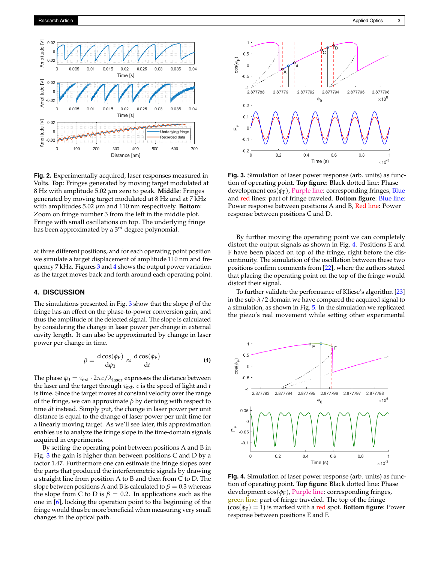

**Fig. 2.** Experimentally acquired, laser responses measured in Volts. **Top**: Fringes generated by moving target modulated at 8 Hz with amplitude 5.02 *µ*m zero to peak. **Middle**: Fringes generated by moving target modulated at 8 Hz and at 7 kHz with amplitudes 5.02 *µ*m and 110 nm respectively. **Bottom**: Zoom on fringe number 3 from the left in the middle plot. Fringe with small oscillations on top. The underlying fringe has been approximated by a 3*rd* degree polynomial.

at three different positions, and for each operating point position we simulate a target displacement of amplitude 110 nm and frequency 7 kHz. Figures 3 and 4 shows the output power variation as the target moves back and forth around each operating point.

## **4. DISCUSSION**

The simulations presented in Fig. 3 show that the slope *β* of the fringe has an effect on the phase-to-power conversion gain, and thus the amplitude of the detected signal. The slope is calculated by considering the change in laser power per change in external cavity length. It can also be approximated by change in laser power per change in time.

$$
\beta = \frac{\mathrm{d}\cos(\phi_{\mathrm{F}})}{\mathrm{d}\phi_{0}} \approx \frac{\mathrm{d}\cos(\phi_{\mathrm{F}})}{\mathrm{d}t}
$$
 (4)

The phase  $\phi_0 = \tau_{ext} \cdot 2\pi c / \lambda_{\text{laser}}$  expresses the distance between the laser and the target through *τ*ext. *c* is the speed of light and *t* is time. Since the target moves at constant velocity over the range of the fringe, we can approximate *β* by deriving with respect to time *dt* instead. Simply put, the change in laser power per unit distance is equal to the change of laser power per unit time for a linearly moving target. As we'll see later, this approximation enables us to analyze the fringe slope in the time-domain signals acquired in experiments.

By setting the operating point between positions A and B in Fig. 3 the gain is higher than between positions C and D by a factor 1.47. Furthermore one can estimate the fringe slopes over the parts that produced the interferometric signals by drawing a straight line from position A to B and then from C to D. The slope between positions A and B is calculated to  $\beta = 0.3$  whereas the slope from C to D is  $\beta = 0.2$ . In applications such as the one in [6], locking the operation point to the beginning of the fringe would thus be more beneficial when measuring very small changes in the optical path.



**Fig. 3.** Simulation of laser power response (arb. units) as function of operating point. **Top figure**: Black dotted line: Phase development  $cos(\phi_F)$ , Purple line: corresponding fringes, Blue and red lines: part of fringe traveled. **Bottom figure**: Blue line: Power response between positions A and B, Red line: Power response between positions C and D.

By further moving the operating point we can completely distort the output signals as shown in Fig. 4. Positions E and F have been placed on top of the fringe, right before the discontinuity. The simulation of the oscillation between these two positions confirm comments from [22], where the authors stated that placing the operating point on the top of the fringe would distort their signal.

To further validate the performance of Kliese's algorithm [23] in the sub-*λ*/2 domain we have compared the acquired signal to a simulation, as shown in Fig. 5. In the simulation we replicated the piezo's real movement while setting other experimental



**Fig. 4.** Simulation of laser power response (arb. units) as function of operating point. **Top figure**: Black dotted line: Phase development cos(*φ*F), Purple line: corresponding fringes, green line: part of fringe traveled. The top of the fringe  $(cos(\phi_F) = 1)$  is marked with a red spot. **Bottom figure**: Power response between positions E and F.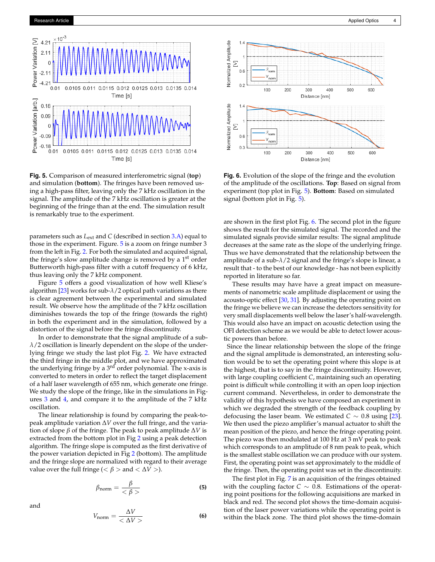

**Fig. 5.** Comparison of measured interferometric signal (**top**) and simulation (**bottom**). The fringes have been removed using a high-pass filter, leaving only the 7 kHz oscillation in the signal. The amplitude of the 7 kHz oscillation is greater at the beginning of the fringe than at the end. The simulation result is remarkably true to the experiment.

parameters such as *L*ext and *C* (described in section 3.A) equal to those in the experiment. Figure. 5 is a zoom on fringe number 3 from the left in Fig. 2. For both the simulated and acquired signal, the fringe's slow amplitude change is removed by a 1<sup>st</sup> order Butterworth high-pass filter with a cutoff frequency of 6 kHz, thus leaving only the 7 kHz component.

Figure 5 offers a good visualization of how well Kliese's algorithm [23] works for sub-*λ*/2 optical path variations as there is clear agreement between the experimental and simulated result. We observe how the amplitude of the 7 kHz oscillation diminishes towards the top of the fringe (towards the right) in both the experiment and in the simulation, followed by a distortion of the signal before the fringe discontinuity.

In order to demonstrate that the signal amplitude of a sub*λ*/2 oscillation is linearly dependent on the slope of the underlying fringe we study the last plot Fig. 2. We have extracted the third fringe in the middle plot, and we have approximated the underlying fringe by a 3<sup>rd</sup> order polynomial. The x-axis is converted to meters in order to reflect the target displacement of a half laser wavelength of 655 nm, which generate one fringe. We study the slope of the fringe, like in the simulations in Figures 3 and 4, and compare it to the amplitude of the 7 kHz oscillation.

The linear relationship is found by comparing the peak-topeak amplitude variation ∆*V* over the full fringe, and the variation of slope *β* of the fringe. The peak to peak amplitude ∆*V* is extracted from the bottom plot in Fig 2 using a peak detection algorithm. The fringe slope is computed as the first derivative of the power variation depicted in Fig 2 (bottom). The amplitude and the fringe slope are normalized with regard to their average value over the full fringe ( $\lt \beta$  > and  $\lt \Delta V$  >).

$$
\beta_{\text{norm}} = \frac{\beta}{\langle \beta \rangle} \tag{5}
$$



$$
V_{\text{norm}} = \frac{\Delta V}{\langle \Delta V \rangle} \tag{6}
$$



**Fig. 6.** Evolution of the slope of the fringe and the evolution of the amplitude of the oscillations. **Top**: Based on signal from experiment (top plot in Fig. 5). **Bottom**: Based on simulated signal (bottom plot in Fig. 5).

are shown in the first plot Fig. 6. The second plot in the figure shows the result for the simulated signal. The recorded and the simulated signals provide similar results: The signal amplitude decreases at the same rate as the slope of the underlying fringe. Thus we have demonstrated that the relationship between the amplitude of a sub- $\lambda/2$  signal and the fringe's slope is linear, a result that - to the best of our knowledge - has not been explicitly reported in literature so far.

These results may have have a great impact on measurements of nanometric scale amplitude displacement or using the acousto-optic effect [30, 31]. By adjusting the operating point on the fringe we believe we can increase the detectors sensitivity for very small displacements well below the laser's half-wavelength. This would also have an impact on acoustic detection using the OFI detection scheme as we would be able to detect lower acoustic powers than before.

Since the linear relationship between the slope of the fringe and the signal amplitude is demonstrated, an interesting solution would be to set the operating point where this slope is at the highest, that is to say in the fringe discontinuity. However, with large coupling coefficient *C*, maintaining such an operating point is difficult while controlling it with an open loop injection current command. Nevertheless, in order to demonstrate the validity of this hypothesis we have composed an experiment in which we degraded the strength of the feedback coupling by defocusing the laser beam. We estimated  $C \sim 0.8$  using [23]. We then used the piezo amplifier's manual actuator to shift the mean position of the piezo, and hence the fringe operating point. The piezo was then modulated at 100 Hz at 3 mV peak to peak which corresponds to an amplitude of 8 nm peak to peak, which is the smallest stable oscillation we can produce with our system. First, the operating point was set approximately to the middle of the fringe. Then, the operating point was set in the discontinuity.

The first plot in Fig. 7 is an acquisition of the fringes obtained with the coupling factor  $C \sim 0.8$ . Estimations of the operating point positions for the following acquisitions are marked in black and red. The second plot shows the time-domain acquisition of the laser power variations while the operating point is within the black zone. The third plot shows the time-domain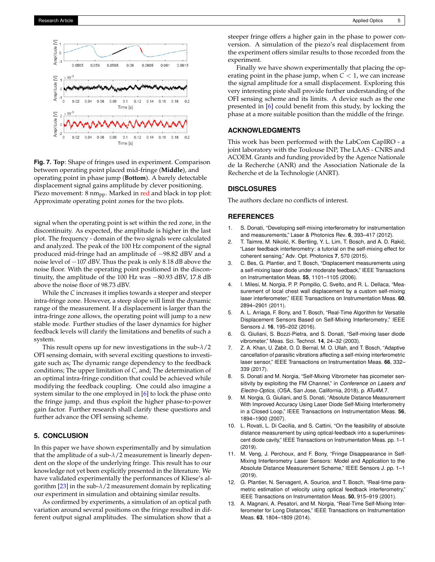

**Fig. 7. Top**: Shape of fringes used in experiment. Comparison between operating point placed mid-fringe (**Middle**), and operating point in phase jump (**Bottom**). A barely detectable displacement signal gains amplitude by clever positioning. Piezo movement:  $8 \text{ nm}_{\text{pp}}$ . Marked in red and black in top plot: Approximate operating point zones for the two plots.

signal when the operating point is set within the red zone, in the discontinuity. As expected, the amplitude is higher in the last plot. The frequency - domain of the two signals were calculated and analyzed. The peak of the 100 Hz component of the signal produced mid-fringe had an amplitude of −98.82 dBV and a noise level of −107 dBV. Thus the peak is only 8.18 dB above the noise floor. With the operating point positioned in the discontinuity, the amplitude of the 100 Hz was −80.93 dBV, 17.8 dB above the noise floor of 98.73 dBV.

While the *C* increases it implies towards a steeper and steeper intra-fringe zone. However, a steep slope will limit the dynamic range of the measurement. If a displacement is larger than the intra-fringe zone allows, the operating point will jump to a new stable mode. Further studies of the laser dynamics for higher feedback levels will clarify the limitations and benefits of such a system.

This result opens up for new investigations in the sub-*λ*/2 OFI sensing domain, with several exciting questions to investigate such as; The dynamic range dependency to the feedback conditions; The upper limitation of *C*, and; The determination of an optimal intra-fringe condition that could be achieved while modifying the feedback coupling. One could also imagine a system similar to the one employed in [6] to lock the phase onto the fringe jump, and thus exploit the higher phase-to-power gain factor. Further research shall clarify these questions and further advance the OFI sensing scheme.

### **5. CONCLUSION**

In this paper we have shown experimentally and by simulation that the amplitude of a sub- $\lambda/2$  measurement is linearly dependent on the slope of the underlying fringe. This result has to our knowledge not yet been explicitly presented in the literature. We have validated experimentally the performances of Kliese's algorithm [23] in the sub-*λ*/2 measurement domain by replicating our experiment in simulation and obtaining similar results.

As confirmed by experiments, a simulation of an optical path variation around several positions on the fringe resulted in different output signal amplitudes. The simulation show that a

steeper fringe offers a higher gain in the phase to power conversion. A simulation of the piezo's real displacement from the experiment offers similar results to those recorded from the experiment.

Finally we have shown experimentally that placing the operating point in the phase jump, when  $C < 1$ , we can increase the signal amplitude for a small displacement. Exploring this very interesting piste shall provide further understanding of the OFI sensing scheme and its limits. A device such as the one presented in [6] could benefit from this study, by locking the phase at a more suitable position than the middle of the fringe.

## **ACKNOWLEDGMENTS**

This work has been performed with the LabCom CapIRO - a joint laboratory with the Toulouse INP, The LAAS - CNRS and ACOEM. Grants and funding provided by the Agence Nationale de la Recherche (ANR) and the Association Nationale de la Recherche et de la Technologie (ANRT).

## **DISCLOSURES**

The authors declare no conflicts of interest.

### **REFERENCES**

- 1. S. Donati, "Developing self-mixing interferometry for instrumentation and measurements," Laser & Photonics Rev. **6**, 393–417 (2012).
- 2. T. Taimre, M. Nikolić, K. Bertling, Y. L. Lim, T. Bosch, and A. D. Rakić, "Laser feedback interferometry: a tutorial on the self-mixing effect for coherent sensing," Adv. Opt. Photonics **7**, 570 (2015).
- 3. C. Bes, G. Plantier, and T. Bosch, "Displacement measurements using a self-mixing laser diode under moderate feedback," IEEE Transactions on Instrumentation Meas. **55**, 1101–1105 (2006).
- 4. I. Milesi, M. Norgia, P. P. Pompilio, C. Svelto, and R. L. Dellaca, "Measurement of local chest wall displacement by a custom self-mixing laser interferometer," IEEE Transactions on Instrumentation Meas. **60**, 2894–2901 (2011).
- 5. A. L. Arriaga, F. Bony, and T. Bosch, "Real-Time Algorithm for Versatile Displacement Sensors Based on Self-Mixing Interferometry," IEEE Sensors J. **16**, 195–202 (2016).
- 6. G. Giuliani, S. Bozzi-Pietra, and S. Donati, "Self-mixing laser diode vibrometer," Meas. Sci. Technol. **14**, 24–32 (2003).
- 7. Z. A. Khan, U. Zabit, O. D. Bernal, M. O. Ullah, and T. Bosch, "Adaptive cancellation of parasitic vibrations affecting a self-mixing interferometric laser sensor," IEEE Transactions on Instrumentation Meas. **66**, 332– 339 (2017).
- 8. S. Donati and M. Norgia, "Self-Mixing Vibrometer has picometer sensitivity by exploiting the FM Channel," in *Conference on Lasers and Electro-Optics,* (OSA, San Jose, California, 2018), p. ATu4M.7.
- 9. M. Norgia, G. Giuliani, and S. Donati, "Absolute Distance Measurement With Improved Accuracy Using Laser Diode Self-Mixing Interferometry in a Closed Loop," IEEE Transactions on Instrumentation Meas. **56**, 1894–1900 (2007).
- 10. L. Rovati, L. Di Cecilia, and S. Cattini, "On the feasibility of absolute distance measurement by using optical-feedback into a superluminescent diode cavity," IEEE Transactions on Instrumentation Meas. pp. 1–1 (2019).
- 11. M. Veng, J. Perchoux, and F. Bony, "Fringe Disappearance in Self-Mixing Interferometry Laser Sensors: Model and Application to the Absolute Distance Measurement Scheme," IEEE Sensors J. pp. 1–1 (2019).
- 12. G. Plantier, N. Servagent, A. Sourice, and T. Bosch, "Real-time parametric estimation of velocity using optical feedback interferometry," IEEE Transactions on Instrumentation Meas. **50**, 915–919 (2001).
- 13. A. Magnani, A. Pesatori, and M. Norgia, "Real-Time Self-Mixing Interferometer for Long Distances," IEEE Transactions on Instrumentation Meas. **63**, 1804–1809 (2014).